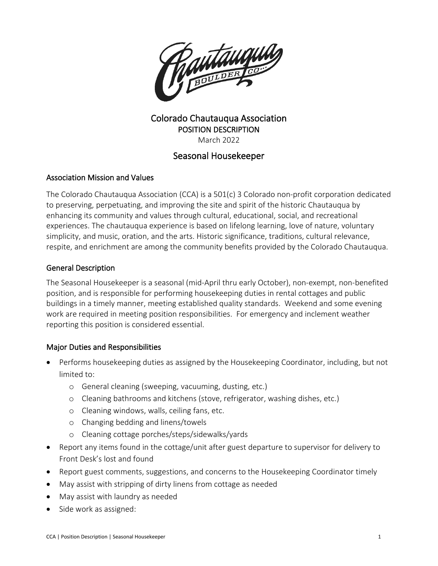

# Colorado Chautauqua Association POSITION DESCRIPTION March 2022

# Seasonal Housekeeper

## Association Mission and Values

The Colorado Chautauqua Association (CCA) is a 501(c) 3 Colorado non-profit corporation dedicated to preserving, perpetuating, and improving the site and spirit of the historic Chautauqua by enhancing its community and values through cultural, educational, social, and recreational experiences. The chautauqua experience is based on lifelong learning, love of nature, voluntary simplicity, and music, oration, and the arts. Historic significance, traditions, cultural relevance, respite, and enrichment are among the community benefits provided by the Colorado Chautauqua.

### General Description

The Seasonal Housekeeper is a seasonal (mid-April thru early October), non-exempt, non-benefited position, and is responsible for performing housekeeping duties in rental cottages and public buildings in a timely manner, meeting established quality standards. Weekend and some evening work are required in meeting position responsibilities. For emergency and inclement weather reporting this position is considered essential.

## Major Duties and Responsibilities

- Performs housekeeping duties as assigned by the Housekeeping Coordinator, including, but not limited to:
	- o General cleaning (sweeping, vacuuming, dusting, etc.)
	- o Cleaning bathrooms and kitchens (stove, refrigerator, washing dishes, etc.)
	- o Cleaning windows, walls, ceiling fans, etc.
	- o Changing bedding and linens/towels
	- o Cleaning cottage porches/steps/sidewalks/yards
- Report any items found in the cottage/unit after guest departure to supervisor for delivery to Front Desk's lost and found
- Report guest comments, suggestions, and concerns to the Housekeeping Coordinator timely
- May assist with stripping of dirty linens from cottage as needed
- May assist with laundry as needed
- Side work as assigned: